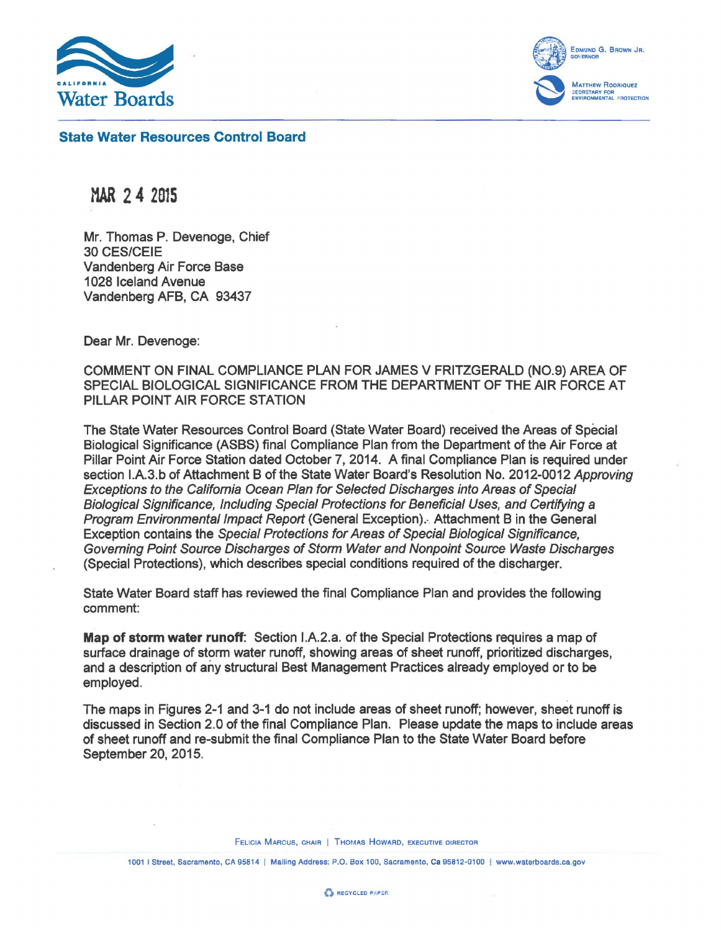

EDMUND G. BROWN JR.  $\left\{ \ldots, \ldots \right\}$  GOVERNOR **Matthew Rodriquez<br>Secretary for<br>Environmental Protection** 

State Water Resources Control Board

MAR 2 4 <sup>2815</sup>

Mr. Thomas P. Devenoge, Chief 30 CES/CEIE Vandenberg Air Force Base 1028 Iceland Avenue Vandenberg AFB, CA 93437

Dear Mr. Devenoge:

COMMENT ON FINAL COMPLIANCE PLAN FOR JAMES V FRITZGERALD (N0.9) AREA OF SPECIAL BIOLOGICAL SIGNIFICANCE FROM THE DEPARTMENT OF THE AIR FORCE AT PILLAR POINT AIR FORCE STATION

The State Water Resources Control Board (State Water Board) received the Areas of Special Biological Significance (ASBS) final Compliance Plan from the Department of the Air Force at Pillar Point Air Force Station dated October 7, 2014. A final Compliance Plan is required under section I.A.3.b of Attachment B of the State Water Board's Resolution No. 2012-0012 Approving Exceptions to the California Ocean Plan for Selected Discharges into Areas of Special Biological Significance, Including Special Protections for Beneficial Uses, and Certifying a Program Environmental Impact Report (General Exception).· Attachment B in the General Exception contains the Special Protections for Areas of Special Biological Significance, Governing Point Source Discharges of Storm Water and Nonpoint Source Waste Discharges (Special Protections), which describes special conditions required of the discharger.

State Water Board staff has reviewed the final Compliance Plan and provides the following comment:

Map of storm water runoff: Section I.A.2.a. of the Special Protections requires a map of surface drainage of storm water runoff, showing areas of sheet runoff, prioritized discharges, and a description of any structural Best Management Practices already employed or to be employed.

The maps in Figures 2-1 and 3-1 do not include areas of sheet runoff; however, sheet runoff is discussed in Section 2.0 of the final Compliance Plan. Please update the maps to include areas of sheet runoff and re-submit the final Compliance Plan to the State Water Board before September 20, 2015.

FELICIA MARCUS, CHAIR | THOMAS HOWARD, EXECUTIVE DIRECTOR